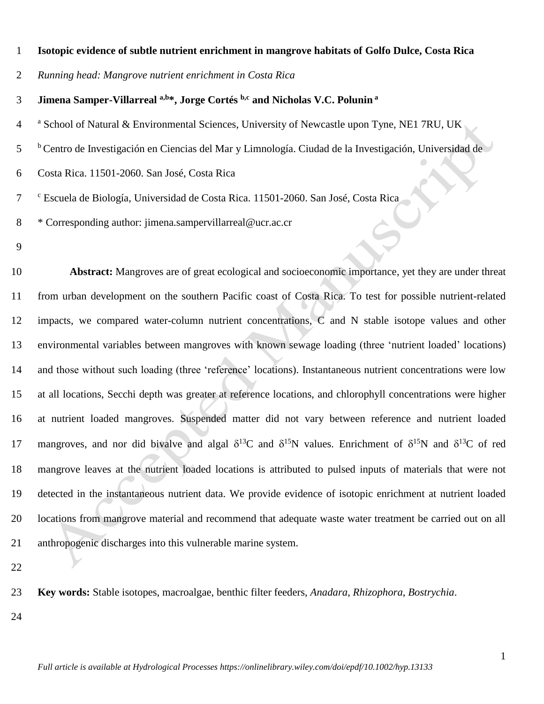### **Isotopic evidence of subtle nutrient enrichment in mangrove habitats of Golfo Dulce, Costa Rica**

*Running head: Mangrove nutrient enrichment in Costa Rica*

**Jimena Samper-Villarreal a,b\*, Jorge Cortés b,c and Nicholas V.C. Polunin <sup>a</sup>**

<sup>4</sup> School of Natural & Environmental Sciences, University of Newcastle upon Tyne, NE1 7RU, UK

<sup>b</sup> Centro de Investigación en Ciencias del Mar y Limnología. Ciudad de la Investigación, Universidad de

Costa Rica. 11501-2060. San José, Costa Rica

c Escuela de Biología, Universidad de Costa Rica. 11501-2060. San José, Costa Rica

\* Corresponding author: jimena.sampervillarreal@ucr.ac.cr

 **Abstract:** Mangroves are of great ecological and socioeconomic importance, yet they are under threat from urban development on the southern Pacific coast of Costa Rica. To test for possible nutrient-related impacts, we compared water-column nutrient concentrations, C and N stable isotope values and other environmental variables between mangroves with known sewage loading (three 'nutrient loaded' locations) and those without such loading (three 'reference' locations). Instantaneous nutrient concentrations were low at all locations, Secchi depth was greater at reference locations, and chlorophyll concentrations were higher at nutrient loaded mangroves. Suspended matter did not vary between reference and nutrient loaded 17 mangroves, and nor did bivalve and algal  $\delta^{13}C$  and  $\delta^{15}N$  values. Enrichment of  $\delta^{15}N$  and  $\delta^{13}C$  of red mangrove leaves at the nutrient loaded locations is attributed to pulsed inputs of materials that were not detected in the instantaneous nutrient data. We provide evidence of isotopic enrichment at nutrient loaded locations from mangrove material and recommend that adequate waste water treatment be carried out on all anthropogenic discharges into this vulnerable marine system.

**Key words:** Stable isotopes, macroalgae, benthic filter feeders, *Anadara*, *Rhizophora*, *Bostrychia*.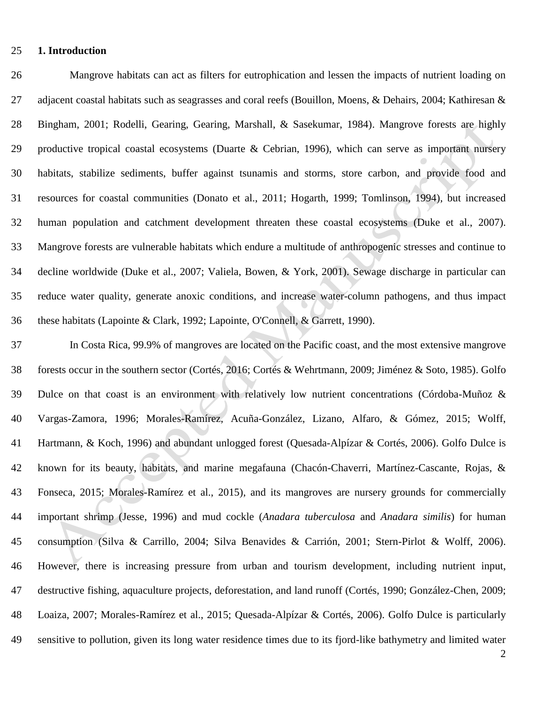## **1. Introduction**

 Mangrove habitats can act as filters for eutrophication and lessen the impacts of nutrient loading on 27 adjacent coastal habitats such as seagrasses and coral reefs (Bouillon, Moens, & Dehairs, 2004; Kathiresan & Bingham, 2001; Rodelli, Gearing, Gearing, Marshall, & Sasekumar, 1984). Mangrove forests are highly productive tropical coastal ecosystems (Duarte & Cebrian, 1996), which can serve as important nursery habitats, stabilize sediments, buffer against tsunamis and storms, store carbon, and provide food and resources for coastal communities (Donato et al., 2011; Hogarth, 1999; Tomlinson, 1994), but increased human population and catchment development threaten these coastal ecosystems (Duke et al., 2007). Mangrove forests are vulnerable habitats which endure a multitude of anthropogenic stresses and continue to decline worldwide (Duke et al., 2007; Valiela, Bowen, & York, 2001). Sewage discharge in particular can reduce water quality, generate anoxic conditions, and increase water-column pathogens, and thus impact these habitats (Lapointe & Clark, 1992; Lapointe, O'Connell, & Garrett, 1990).

 In Costa Rica, 99.9% of mangroves are located on the Pacific coast, and the most extensive mangrove forests occur in the southern sector (Cortés, 2016; Cortés & Wehrtmann, 2009; Jiménez & Soto, 1985). Golfo Dulce on that coast is an environment with relatively low nutrient concentrations (Córdoba-Muñoz & Vargas-Zamora, 1996; Morales-Ramírez, Acuña-González, Lizano, Alfaro, & Gómez, 2015; Wolff, Hartmann, & Koch, 1996) and abundant unlogged forest (Quesada-Alpízar & Cortés, 2006). Golfo Dulce is known for its beauty, habitats, and marine megafauna (Chacón-Chaverri, Martínez-Cascante, Rojas, & Fonseca, 2015; Morales-Ramírez et al., 2015), and its mangroves are nursery grounds for commercially important shrimp (Jesse, 1996) and mud cockle (*Anadara tuberculosa* and *Anadara similis*) for human consumption (Silva & Carrillo, 2004; Silva Benavides & Carrión, 2001; Stern-Pirlot & Wolff, 2006). However, there is increasing pressure from urban and tourism development, including nutrient input, destructive fishing, aquaculture projects, deforestation, and land runoff (Cortés, 1990; González-Chen, 2009; Loaiza, 2007; Morales-Ramírez et al., 2015; Quesada-Alpízar & Cortés, 2006). Golfo Dulce is particularly sensitive to pollution, given its long water residence times due to its fjord-like bathymetry and limited water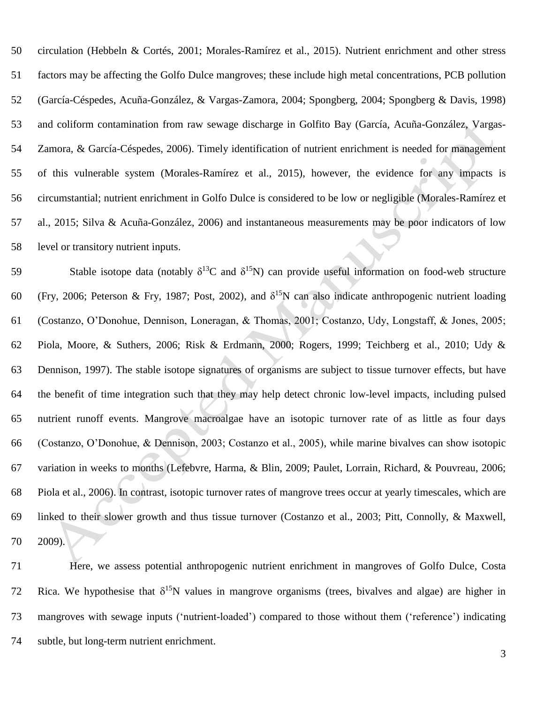circulation (Hebbeln & Cortés, 2001; Morales-Ramírez et al., 2015). Nutrient enrichment and other stress factors may be affecting the Golfo Dulce mangroves; these include high metal concentrations, PCB pollution (García-Céspedes, Acuña-González, & Vargas-Zamora, 2004; Spongberg, 2004; Spongberg & Davis, 1998) and coliform contamination from raw sewage discharge in Golfito Bay (García, Acuña-González, Vargas- Zamora, & García-Céspedes, 2006). Timely identification of nutrient enrichment is needed for management of this vulnerable system (Morales-Ramírez et al., 2015), however, the evidence for any impacts is circumstantial; nutrient enrichment in Golfo Dulce is considered to be low or negligible (Morales-Ramírez et al., 2015; Silva & Acuña-González, 2006) and instantaneous measurements may be poor indicators of low level or transitory nutrient inputs.

Stable isotope data (notably  $\delta^{13}C$  and  $\delta^{15}N$ ) can provide useful information on food-web structure 60 (Fry, 2006; Peterson & Fry, 1987; Post, 2002), and  $\delta^{15}N$  can also indicate anthropogenic nutrient loading (Costanzo, O'Donohue, Dennison, Loneragan, & Thomas, 2001; Costanzo, Udy, Longstaff, & Jones, 2005; Piola, Moore, & Suthers, 2006; Risk & Erdmann, 2000; Rogers, 1999; Teichberg et al., 2010; Udy & Dennison, 1997). The stable isotope signatures of organisms are subject to tissue turnover effects, but have the benefit of time integration such that they may help detect chronic low-level impacts, including pulsed nutrient runoff events. Mangrove macroalgae have an isotopic turnover rate of as little as four days (Costanzo, O'Donohue, & Dennison, 2003; Costanzo et al., 2005), while marine bivalves can show isotopic variation in weeks to months (Lefebvre, Harma, & Blin, 2009; Paulet, Lorrain, Richard, & Pouvreau, 2006; Piola et al., 2006). In contrast, isotopic turnover rates of mangrove trees occur at yearly timescales, which are linked to their slower growth and thus tissue turnover (Costanzo et al., 2003; Pitt, Connolly, & Maxwell, 2009).

 Here, we assess potential anthropogenic nutrient enrichment in mangroves of Golfo Dulce, Costa 72 Rica. We hypothesise that  $\delta^{15}N$  values in mangrove organisms (trees, bivalves and algae) are higher in mangroves with sewage inputs ('nutrient-loaded') compared to those without them ('reference') indicating subtle, but long-term nutrient enrichment.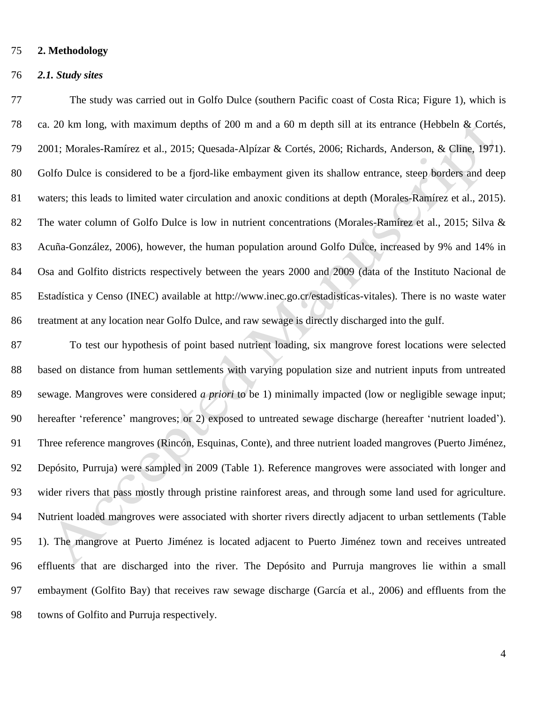## **2. Methodology**

### *2.1. Study sites*

 The study was carried out in Golfo Dulce (southern Pacific coast of Costa Rica; Figure 1), which is ca. 20 km long, with maximum depths of 200 m and a 60 m depth sill at its entrance (Hebbeln & Cortés, 2001; Morales-Ramírez et al., 2015; Quesada-Alpízar & Cortés, 2006; Richards, Anderson, & Cline, 1971). Golfo Dulce is considered to be a fjord-like embayment given its shallow entrance, steep borders and deep waters; this leads to limited water circulation and anoxic conditions at depth (Morales-Ramírez et al., 2015). 82 The water column of Golfo Dulce is low in nutrient concentrations (Morales-Ramírez et al., 2015; Silva & Acuña-González, 2006), however, the human population around Golfo Dulce, increased by 9% and 14% in Osa and Golfito districts respectively between the years 2000 and 2009 (data of the Instituto Nacional de Estadística y Censo (INEC) available at http://www.inec.go.cr/estadisticas-vitales). There is no waste water treatment at any location near Golfo Dulce, and raw sewage is directly discharged into the gulf.

 To test our hypothesis of point based nutrient loading, six mangrove forest locations were selected based on distance from human settlements with varying population size and nutrient inputs from untreated sewage. Mangroves were considered *a priori* to be 1) minimally impacted (low or negligible sewage input; hereafter 'reference' mangroves; or 2) exposed to untreated sewage discharge (hereafter 'nutrient loaded'). Three reference mangroves (Rincón, Esquinas, Conte), and three nutrient loaded mangroves (Puerto Jiménez, Depósito, Purruja) were sampled in 2009 (Table 1). Reference mangroves were associated with longer and wider rivers that pass mostly through pristine rainforest areas, and through some land used for agriculture. Nutrient loaded mangroves were associated with shorter rivers directly adjacent to urban settlements (Table 1). The mangrove at Puerto Jiménez is located adjacent to Puerto Jiménez town and receives untreated effluents that are discharged into the river. The Depósito and Purruja mangroves lie within a small embayment (Golfito Bay) that receives raw sewage discharge (García et al., 2006) and effluents from the towns of Golfito and Purruja respectively.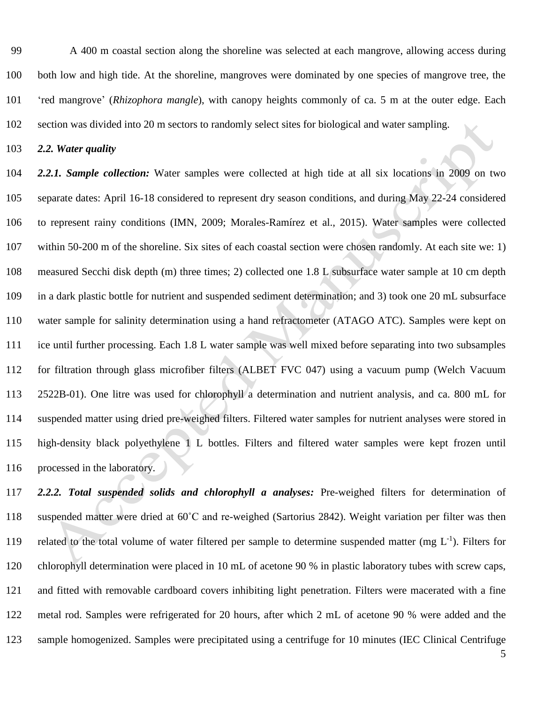A 400 m coastal section along the shoreline was selected at each mangrove, allowing access during both low and high tide. At the shoreline, mangroves were dominated by one species of mangrove tree, the 'red mangrove' (*Rhizophora mangle*), with canopy heights commonly of ca. 5 m at the outer edge. Each section was divided into 20 m sectors to randomly select sites for biological and water sampling.

*2.2. Water quality* 

 *2.2.1. Sample collection:* Water samples were collected at high tide at all six locations in 2009 on two separate dates: April 16-18 considered to represent dry season conditions, and during May 22-24 considered to represent rainy conditions (IMN, 2009; Morales-Ramírez et al., 2015). Water samples were collected within 50-200 m of the shoreline. Six sites of each coastal section were chosen randomly. At each site we: 1) measured Secchi disk depth (m) three times; 2) collected one 1.8 L subsurface water sample at 10 cm depth in a dark plastic bottle for nutrient and suspended sediment determination; and 3) took one 20 mL subsurface water sample for salinity determination using a hand refractometer (ATAGO ATC). Samples were kept on ice until further processing. Each 1.8 L water sample was well mixed before separating into two subsamples for filtration through glass microfiber filters (ALBET FVC 047) using a vacuum pump (Welch Vacuum 2522B-01). One litre was used for chlorophyll a determination and nutrient analysis, and ca. 800 mL for suspended matter using dried pre-weighed filters. Filtered water samples for nutrient analyses were stored in high-density black polyethylene 1 L bottles. Filters and filtered water samples were kept frozen until processed in the laboratory.

 *2.2.2. Total suspended solids and chlorophyll a analyses:* Pre-weighed filters for determination of suspended matter were dried at 60˚C and re-weighed (Sartorius 2842). Weight variation per filter was then 119 related to the total volume of water filtered per sample to determine suspended matter (mg  $L^{-1}$ ). Filters for chlorophyll determination were placed in 10 mL of acetone 90 % in plastic laboratory tubes with screw caps, and fitted with removable cardboard covers inhibiting light penetration. Filters were macerated with a fine metal rod. Samples were refrigerated for 20 hours, after which 2 mL of acetone 90 % were added and the sample homogenized. Samples were precipitated using a centrifuge for 10 minutes (IEC Clinical Centrifuge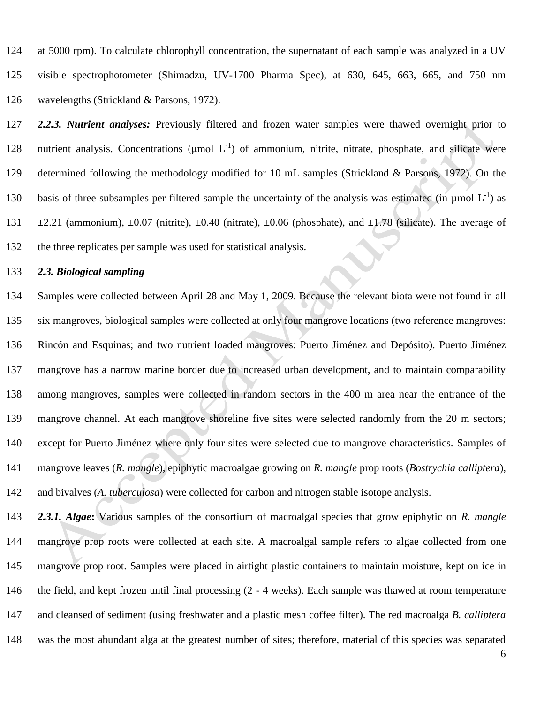at 5000 rpm). To calculate chlorophyll concentration, the supernatant of each sample was analyzed in a UV visible spectrophotometer (Shimadzu, UV-1700 Pharma Spec), at 630, 645, 663, 665, and 750 nm wavelengths (Strickland & Parsons, 1972).

 *2.2.3. Nutrient analyses:* Previously filtered and frozen water samples were thawed overnight prior to 128 nutrient analysis. Concentrations (μmol L<sup>-1</sup>) of ammonium, nitrite, nitrate, phosphate, and silicate were determined following the methodology modified for 10 mL samples (Strickland & Parsons, 1972). On the 130 basis of three subsamples per filtered sample the uncertainty of the analysis was estimated (in  $\mu$ mol L<sup>-1</sup>) as  $\pm$ 2.21 (ammonium),  $\pm$ 0.07 (nitrite),  $\pm$ 0.40 (nitrate),  $\pm$ 0.06 (phosphate), and  $\pm$ 1.78 (silicate). The average of the three replicates per sample was used for statistical analysis.

## *2.3. Biological sampling*

 Samples were collected between April 28 and May 1, 2009. Because the relevant biota were not found in all six mangroves, biological samples were collected at only four mangrove locations (two reference mangroves: Rincón and Esquinas; and two nutrient loaded mangroves: Puerto Jiménez and Depósito). Puerto Jiménez mangrove has a narrow marine border due to increased urban development, and to maintain comparability among mangroves, samples were collected in random sectors in the 400 m area near the entrance of the mangrove channel. At each mangrove shoreline five sites were selected randomly from the 20 m sectors; except for Puerto Jiménez where only four sites were selected due to mangrove characteristics. Samples of mangrove leaves (*R. mangle*), epiphytic macroalgae growing on *R. mangle* prop roots (*Bostrychia calliptera*), and bivalves (*A. tuberculosa*) were collected for carbon and nitrogen stable isotope analysis.

 *2.3.1. Algae***:** Various samples of the consortium of macroalgal species that grow epiphytic on *R. mangle*  mangrove prop roots were collected at each site. A macroalgal sample refers to algae collected from one mangrove prop root. Samples were placed in airtight plastic containers to maintain moisture, kept on ice in the field, and kept frozen until final processing (2 - 4 weeks). Each sample was thawed at room temperature and cleansed of sediment (using freshwater and a plastic mesh coffee filter). The red macroalga *B. calliptera* was the most abundant alga at the greatest number of sites; therefore, material of this species was separated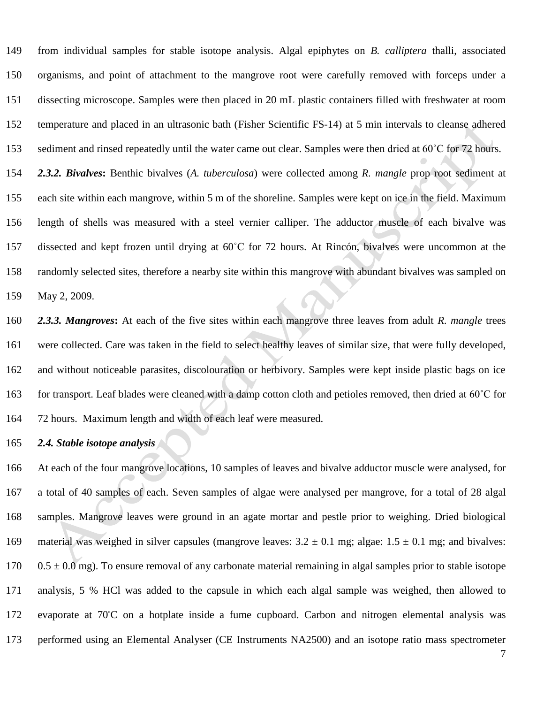from individual samples for stable isotope analysis. Algal epiphytes on *B. calliptera* thalli, associated organisms, and point of attachment to the mangrove root were carefully removed with forceps under a dissecting microscope. Samples were then placed in 20 mL plastic containers filled with freshwater at room temperature and placed in an ultrasonic bath (Fisher Scientific FS-14) at 5 min intervals to cleanse adhered 153 sediment and rinsed repeatedly until the water came out clear. Samples were then dried at 60°C for 72 hours.

 *2.3.2. Bivalves***:** Benthic bivalves (*A. tuberculosa*) were collected among *R. mangle* prop root sediment at each site within each mangrove, within 5 m of the shoreline. Samples were kept on ice in the field. Maximum length of shells was measured with a steel vernier calliper. The adductor muscle of each bivalve was dissected and kept frozen until drying at 60˚C for 72 hours. At Rincón, bivalves were uncommon at the randomly selected sites, therefore a nearby site within this mangrove with abundant bivalves was sampled on May 2, 2009.

 *2.3.3. Mangroves***:** At each of the five sites within each mangrove three leaves from adult *R. mangle* trees were collected. Care was taken in the field to select healthy leaves of similar size, that were fully developed, and without noticeable parasites, discolouration or herbivory. Samples were kept inside plastic bags on ice 163 for transport. Leaf blades were cleaned with a damp cotton cloth and petioles removed, then dried at 60°C for 72 hours. Maximum length and width of each leaf were measured.

# *2.4. Stable isotope analysis*

 At each of the four mangrove locations, 10 samples of leaves and bivalve adductor muscle were analysed, for a total of 40 samples of each. Seven samples of algae were analysed per mangrove, for a total of 28 algal samples. Mangrove leaves were ground in an agate mortar and pestle prior to weighing. Dried biological 169 material was weighed in silver capsules (mangrove leaves:  $3.2 \pm 0.1$  mg; algae:  $1.5 \pm 0.1$  mg; and bivalves:  $0.5 \pm 0.0$  mg). To ensure removal of any carbonate material remaining in algal samples prior to stable isotope analysis, 5 % HCl was added to the capsule in which each algal sample was weighed, then allowed to 172 evaporate at 70°C on a hotplate inside a fume cupboard. Carbon and nitrogen elemental analysis was performed using an Elemental Analyser (CE Instruments NA2500) and an isotope ratio mass spectrometer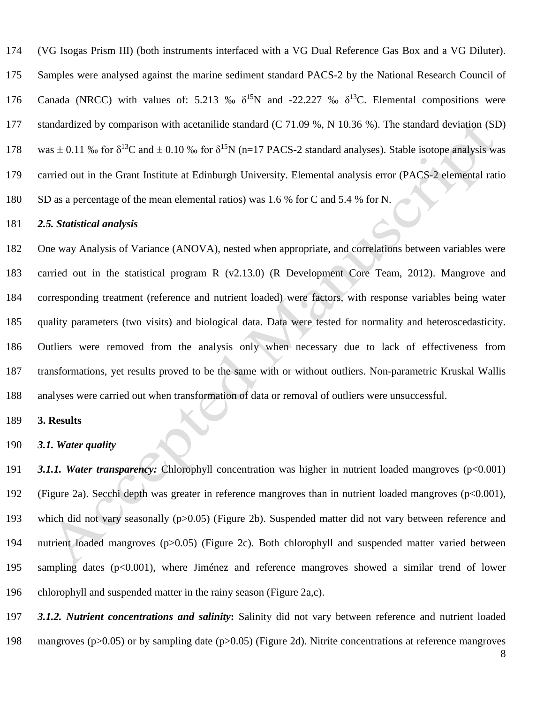(VG Isogas Prism III) (both instruments interfaced with a VG Dual Reference Gas Box and a VG Diluter). Samples were analysed against the marine sediment standard PACS-2 by the National Research Council of 176 Canada (NRCC) with values of: 5.213 ‰  $\delta^{15}N$  and -22.227 ‰  $\delta^{13}C$ . Elemental compositions were standardized by comparison with acetanilide standard (C 71.09 %, N 10.36 %). The standard deviation (SD) 178 was  $\pm$  0.11 ‰ for  $\delta^{13}C$  and  $\pm$  0.10 ‰ for  $\delta^{15}N$  (n=17 PACS-2 standard analyses). Stable isotope analysis was carried out in the Grant Institute at Edinburgh University. Elemental analysis error (PACS-2 elemental ratio SD as a percentage of the mean elemental ratios) was 1.6 % for C and 5.4 % for N.

#### *2.5. Statistical analysis*

 One way Analysis of Variance (ANOVA), nested when appropriate, and correlations between variables were carried out in the statistical program R (v2.13.0) (R Development Core Team, 2012). Mangrove and corresponding treatment (reference and nutrient loaded) were factors, with response variables being water quality parameters (two visits) and biological data. Data were tested for normality and heteroscedasticity. Outliers were removed from the analysis only when necessary due to lack of effectiveness from transformations, yet results proved to be the same with or without outliers. Non-parametric Kruskal Wallis analyses were carried out when transformation of data or removal of outliers were unsuccessful.

# **3. Results**

# *3.1. Water quality*

191 3.1.1. Water transparency: Chlorophyll concentration was higher in nutrient loaded mangroves (p<0.001) (Figure 2a). Secchi depth was greater in reference mangroves than in nutrient loaded mangroves (p<0.001), which did not vary seasonally (p>0.05) (Figure 2b). Suspended matter did not vary between reference and nutrient loaded mangroves (p>0.05) (Figure 2c). Both chlorophyll and suspended matter varied between sampling dates (p<0.001), where Jiménez and reference mangroves showed a similar trend of lower chlorophyll and suspended matter in the rainy season (Figure 2a,c).

 *3.1.2. Nutrient concentrations and salinity***:** Salinity did not vary between reference and nutrient loaded mangroves (p>0.05) or by sampling date (p>0.05) (Figure 2d). Nitrite concentrations at reference mangroves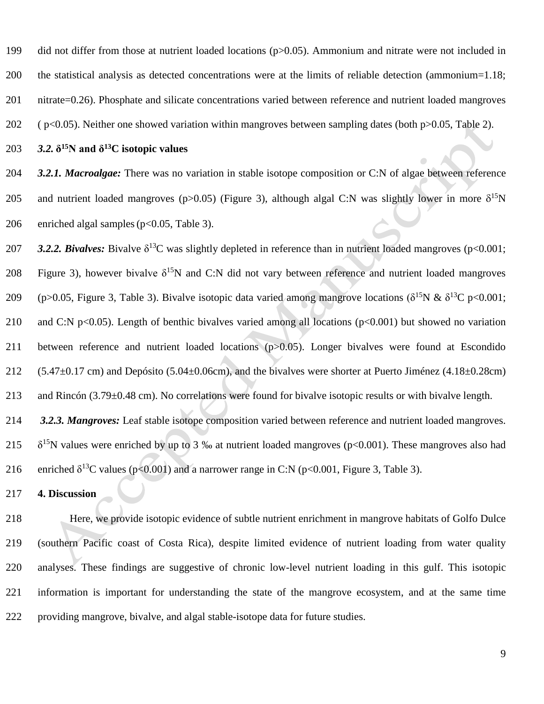did not differ from those at nutrient loaded locations (p>0.05). Ammonium and nitrate were not included in the statistical analysis as detected concentrations were at the limits of reliable detection (ammonium=1.18;

nitrate=0.26). Phosphate and silicate concentrations varied between reference and nutrient loaded mangroves

( p<0.05). Neither one showed variation within mangroves between sampling dates (both p>0.05, Table 2).

203  $3.2. \delta^{15}$ N and  $\delta^{13}$ C isotopic values

 *3.2.1. Macroalgae:* There was no variation in stable isotope composition or C:N of algae between reference 205 and nutrient loaded mangroves (p>0.05) (Figure 3), although algal C:N was slightly lower in more  $\delta^{15}N$ enriched algal samples(p<0.05, Table 3).

207 3.2.2. Bivalves: Bivalve  $\delta^{13}$ C was slightly depleted in reference than in nutrient loaded mangroves (p<0.001; 208 Figure 3), however bivalve  $\delta^{15}N$  and C:N did not vary between reference and nutrient loaded mangroves 209 (p>0.05, Figure 3, Table 3). Bivalve isotopic data varied among mangrove locations ( $\delta^{15}N \& \delta^{13}C$  p<0.001; 210 and C:N p<0.05). Length of benthic bivalves varied among all locations (p<0.001) but showed no variation between reference and nutrient loaded locations (p>0.05). Longer bivalves were found at Escondido (5.47 $\pm$ 0.17 cm) and Depósito (5.04 $\pm$ 0.06cm), and the bivalves were shorter at Puerto Jiménez (4.18 $\pm$ 0.28cm) and Rincón (3.79±0.48 cm). No correlations were found for bivalve isotopic results or with bivalve length. *3.2.3. Mangroves:* Leaf stable isotope composition varied between reference and nutrient loaded mangroves. 215  $\delta^{15}$ N values were enriched by up to 3 ‰ at nutrient loaded mangroves (p<0.001). These mangroves also had

216 enriched  $\delta^{13}$ C values (p<0.001) and a narrower range in C:N (p<0.001, Figure 3, Table 3).

**4. Discussion**

 Here, we provide isotopic evidence of subtle nutrient enrichment in mangrove habitats of Golfo Dulce (southern Pacific coast of Costa Rica), despite limited evidence of nutrient loading from water quality analyses. These findings are suggestive of chronic low-level nutrient loading in this gulf. This isotopic information is important for understanding the state of the mangrove ecosystem, and at the same time providing mangrove, bivalve, and algal stable-isotope data for future studies.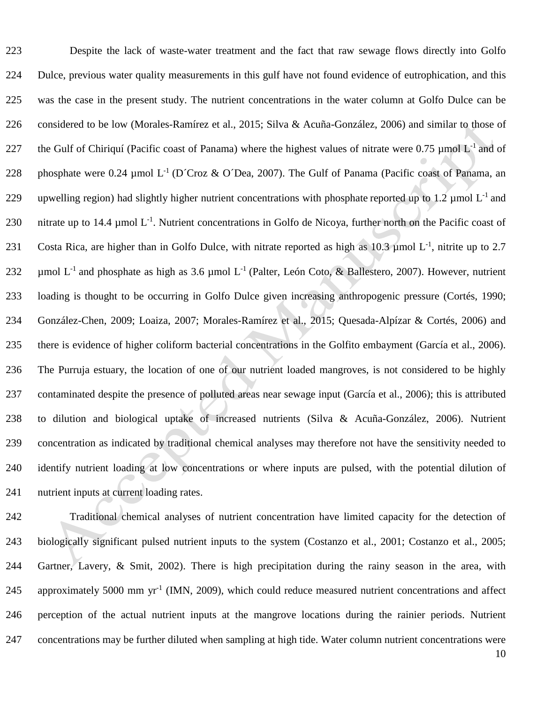Despite the lack of waste-water treatment and the fact that raw sewage flows directly into Golfo Dulce, previous water quality measurements in this gulf have not found evidence of eutrophication, and this was the case in the present study. The nutrient concentrations in the water column at Golfo Dulce can be considered to be low (Morales-Ramírez et al., 2015; Silva & Acuña-González, 2006) and similar to those of 227 the Gulf of Chiriquí (Pacific coast of Panama) where the highest values of nitrate were 0.75  $\mu$ mol L<sup>-1</sup> and of 228 phosphate were 0.24  $\mu$ mol L<sup>-1</sup> (D´Croz & O´Dea, 2007). The Gulf of Panama (Pacific coast of Panama, an 229 upwelling region) had slightly higher nutrient concentrations with phosphate reported up to 1.2  $\mu$ mol L<sup>-1</sup> and 230 nitrate up to 14.4  $\mu$ mol L<sup>-1</sup>. Nutrient concentrations in Golfo de Nicoya, further north on the Pacific coast of 231 Costa Rica, are higher than in Golfo Dulce, with nitrate reported as high as  $10.3 \mu$  mol L<sup>-1</sup>, nitrite up to 2.7 232 umol  $L^{-1}$  and phosphate as high as 3.6 umol  $L^{-1}$  (Palter, León Coto, & Ballestero, 2007). However, nutrient loading is thought to be occurring in Golfo Dulce given increasing anthropogenic pressure (Cortés, 1990; González-Chen, 2009; Loaiza, 2007; Morales-Ramírez et al., 2015; Quesada-Alpízar & Cortés, 2006) and there is evidence of higher coliform bacterial concentrations in the Golfito embayment (García et al., 2006). The Purruja estuary, the location of one of our nutrient loaded mangroves, is not considered to be highly contaminated despite the presence of polluted areas near sewage input (García et al., 2006); this is attributed to dilution and biological uptake of increased nutrients (Silva & Acuña-González, 2006). Nutrient concentration as indicated by traditional chemical analyses may therefore not have the sensitivity needed to identify nutrient loading at low concentrations or where inputs are pulsed, with the potential dilution of nutrient inputs at current loading rates.

 Traditional chemical analyses of nutrient concentration have limited capacity for the detection of biologically significant pulsed nutrient inputs to the system (Costanzo et al., 2001; Costanzo et al., 2005; Gartner, Lavery, & Smit, 2002). There is high precipitation during the rainy season in the area, with 245 approximately 5000 mm yr<sup>-1</sup> (IMN, 2009), which could reduce measured nutrient concentrations and affect perception of the actual nutrient inputs at the mangrove locations during the rainier periods. Nutrient concentrations may be further diluted when sampling at high tide. Water column nutrient concentrations were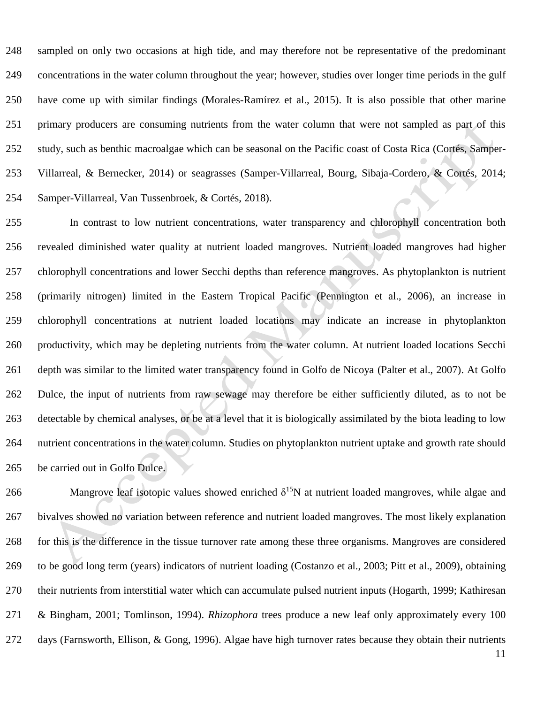sampled on only two occasions at high tide, and may therefore not be representative of the predominant concentrations in the water column throughout the year; however, studies over longer time periods in the gulf have come up with similar findings (Morales-Ramírez et al., 2015). It is also possible that other marine primary producers are consuming nutrients from the water column that were not sampled as part of this study, such as benthic macroalgae which can be seasonal on the Pacific coast of Costa Rica (Cortés, Samper- Villarreal, & Bernecker, 2014) or seagrasses (Samper-Villarreal, Bourg, Sibaja-Cordero, & Cortés, 2014; Samper-Villarreal, Van Tussenbroek, & Cortés, 2018).

 In contrast to low nutrient concentrations, water transparency and chlorophyll concentration both revealed diminished water quality at nutrient loaded mangroves. Nutrient loaded mangroves had higher chlorophyll concentrations and lower Secchi depths than reference mangroves. As phytoplankton is nutrient (primarily nitrogen) limited in the Eastern Tropical Pacific (Pennington et al., 2006), an increase in chlorophyll concentrations at nutrient loaded locations may indicate an increase in phytoplankton productivity, which may be depleting nutrients from the water column. At nutrient loaded locations Secchi depth was similar to the limited water transparency found in Golfo de Nicoya (Palter et al., 2007). At Golfo Dulce, the input of nutrients from raw sewage may therefore be either sufficiently diluted, as to not be detectable by chemical analyses, or be at a level that it is biologically assimilated by the biota leading to low nutrient concentrations in the water column. Studies on phytoplankton nutrient uptake and growth rate should be carried out in Golfo Dulce.

266 Mangrove leaf isotopic values showed enriched  $\delta^{15}N$  at nutrient loaded mangroves, while algae and bivalves showed no variation between reference and nutrient loaded mangroves. The most likely explanation for this is the difference in the tissue turnover rate among these three organisms. Mangroves are considered to be good long term (years) indicators of nutrient loading (Costanzo et al., 2003; Pitt et al., 2009), obtaining their nutrients from interstitial water which can accumulate pulsed nutrient inputs (Hogarth, 1999; Kathiresan & Bingham, 2001; Tomlinson, 1994). *Rhizophora* trees produce a new leaf only approximately every 100 days (Farnsworth, Ellison, & Gong, 1996). Algae have high turnover rates because they obtain their nutrients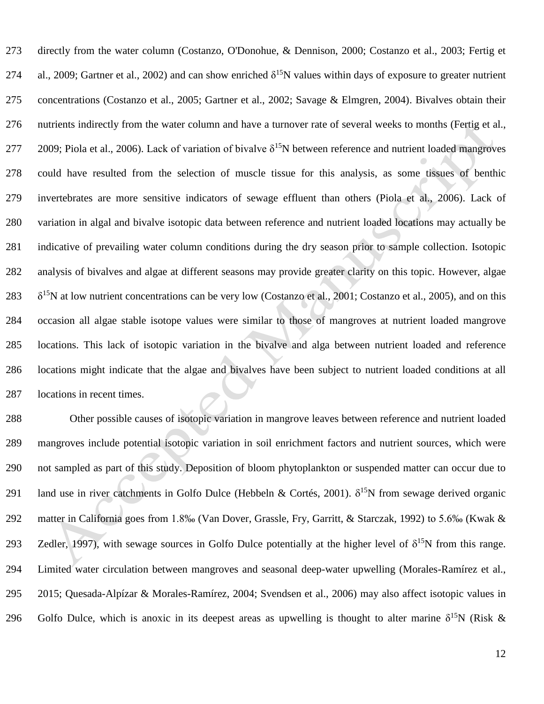directly from the water column (Costanzo, O'Donohue, & Dennison, 2000; Costanzo et al., 2003; Fertig et 274 al., 2009; Gartner et al., 2002) and can show enriched  $\delta^{15}N$  values within days of exposure to greater nutrient concentrations (Costanzo et al., 2005; Gartner et al., 2002; Savage & Elmgren, 2004). Bivalves obtain their nutrients indirectly from the water column and have a turnover rate of several weeks to months (Fertig et al., 277 2009; Piola et al., 2006). Lack of variation of bivalve  $\delta^{15}N$  between reference and nutrient loaded mangroves could have resulted from the selection of muscle tissue for this analysis, as some tissues of benthic invertebrates are more sensitive indicators of sewage effluent than others (Piola et al., 2006). Lack of variation in algal and bivalve isotopic data between reference and nutrient loaded locations may actually be indicative of prevailing water column conditions during the dry season prior to sample collection. Isotopic analysis of bivalves and algae at different seasons may provide greater clarity on this topic. However, algae  $\delta^{15}$ N at low nutrient concentrations can be very low (Costanzo et al., 2001; Costanzo et al., 2005), and on this occasion all algae stable isotope values were similar to those of mangroves at nutrient loaded mangrove locations. This lack of isotopic variation in the bivalve and alga between nutrient loaded and reference locations might indicate that the algae and bivalves have been subject to nutrient loaded conditions at all locations in recent times.

 Other possible causes of isotopic variation in mangrove leaves between reference and nutrient loaded mangroves include potential isotopic variation in soil enrichment factors and nutrient sources, which were not sampled as part of this study. Deposition of bloom phytoplankton or suspended matter can occur due to 291 land use in river catchments in Golfo Dulce (Hebbeln & Cortés, 2001).  $\delta^{15}N$  from sewage derived organic matter in California goes from 1.8‰ (Van Dover, Grassle, Fry, Garritt, & Starczak, 1992) to 5.6‰ (Kwak & 293 Zedler, 1997), with sewage sources in Golfo Dulce potentially at the higher level of  $\delta^{15}N$  from this range. Limited water circulation between mangroves and seasonal deep-water upwelling (Morales-Ramírez et al., 2015; Quesada-Alpízar & Morales-Ramírez, 2004; Svendsen et al., 2006) may also affect isotopic values in 296 Golfo Dulce, which is anoxic in its deepest areas as upwelling is thought to alter marine  $\delta^{15}N$  (Risk &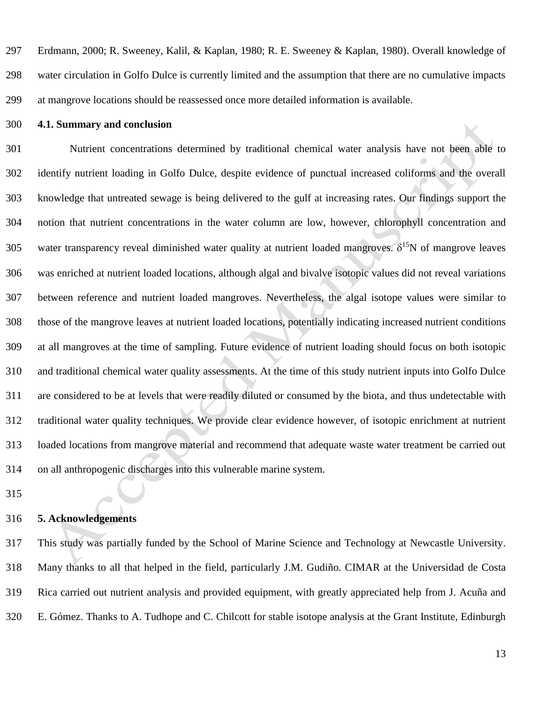Erdmann, 2000; R. Sweeney, Kalil, & Kaplan, 1980; R. E. Sweeney & Kaplan, 1980). Overall knowledge of water circulation in Golfo Dulce is currently limited and the assumption that there are no cumulative impacts at mangrove locations should be reassessed once more detailed information is available.

### **4.1. Summary and conclusion**

 Nutrient concentrations determined by traditional chemical water analysis have not been able to identify nutrient loading in Golfo Dulce, despite evidence of punctual increased coliforms and the overall knowledge that untreated sewage is being delivered to the gulf at increasing rates. Our findings support the notion that nutrient concentrations in the water column are low, however, chlorophyll concentration and 305 water transparency reveal diminished water quality at nutrient loaded mangroves.  $\delta^{15}N$  of mangrove leaves was enriched at nutrient loaded locations, although algal and bivalve isotopic values did not reveal variations between reference and nutrient loaded mangroves. Nevertheless, the algal isotope values were similar to those of the mangrove leaves at nutrient loaded locations, potentially indicating increased nutrient conditions at all mangroves at the time of sampling. Future evidence of nutrient loading should focus on both isotopic and traditional chemical water quality assessments. At the time of this study nutrient inputs into Golfo Dulce are considered to be at levels that were readily diluted or consumed by the biota, and thus undetectable with traditional water quality techniques. We provide clear evidence however, of isotopic enrichment at nutrient loaded locations from mangrove material and recommend that adequate waste water treatment be carried out on all anthropogenic discharges into this vulnerable marine system.

# **5. Acknowledgements**

 This study was partially funded by the School of Marine Science and Technology at Newcastle University. Many thanks to all that helped in the field, particularly J.M. Gudiño. CIMAR at the Universidad de Costa Rica carried out nutrient analysis and provided equipment, with greatly appreciated help from J. Acuña and E. Gómez. Thanks to A. Tudhope and C. Chilcott for stable isotope analysis at the Grant Institute, Edinburgh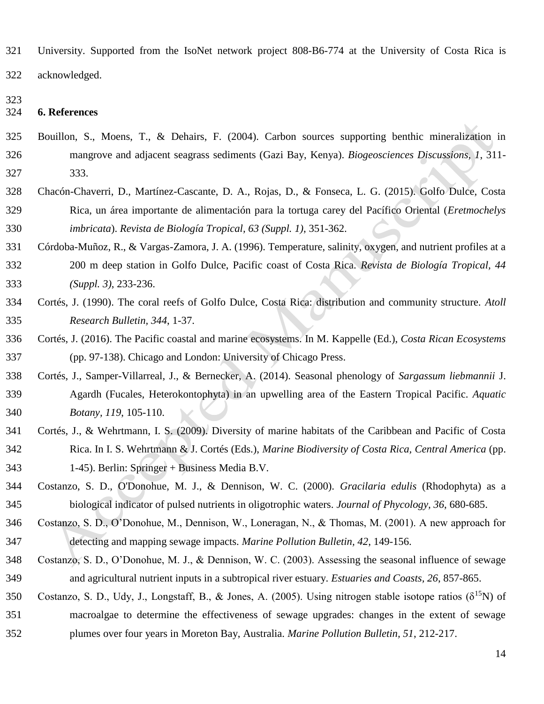- University. Supported from the IsoNet network project 808-B6-774 at the University of Costa Rica is
- acknowledged.
- 

## **6. References**

- Bouillon, S., Moens, T., & Dehairs, F. (2004). Carbon sources supporting benthic mineralization in mangrove and adjacent seagrass sediments (Gazi Bay, Kenya). *Biogeosciences Discussions, 1*, 311- 333.
- Chacón-Chaverri, D., Martínez-Cascante, D. A., Rojas, D., & Fonseca, L. G. (2015). Golfo Dulce, Costa Rica, un área importante de alimentación para la tortuga carey del Pacífico Oriental (*Eretmochelys imbricata*). *Revista de Biología Tropical, 63 (Suppl. 1)*, 351-362.
- Córdoba-Muñoz, R., & Vargas-Zamora, J. A. (1996). Temperature, salinity, oxygen, and nutrient profiles at a 200 m deep station in Golfo Dulce, Pacific coast of Costa Rica. *Revista de Biología Tropical, 44 (Suppl. 3)*, 233-236.
- Cortés, J. (1990). The coral reefs of Golfo Dulce, Costa Rica: distribution and community structure. *Atoll Research Bulletin, 344*, 1-37.
- Cortés, J. (2016). The Pacific coastal and marine ecosystems. In M. Kappelle (Ed.), *Costa Rican Ecosystems* (pp. 97-138). Chicago and London: University of Chicago Press.
- Cortés, J., Samper-Villarreal, J., & Bernecker, A. (2014). Seasonal phenology of *Sargassum liebmannii* J. Agardh (Fucales, Heterokontophyta) in an upwelling area of the Eastern Tropical Pacific. *Aquatic Botany, 119*, 105-110.
- Cortés, J., & Wehrtmann, I. S. (2009). Diversity of marine habitats of the Caribbean and Pacific of Costa Rica. In I. S. Wehrtmann & J. Cortés (Eds.), *Marine Biodiversity of Costa Rica, Central America* (pp. 1-45). Berlin: Springer + Business Media B.V.
- Costanzo, S. D., O'Donohue, M. J., & Dennison, W. C. (2000). *Gracilaria edulis* (Rhodophyta) as a biological indicator of pulsed nutrients in oligotrophic waters. *Journal of Phycology, 36*, 680-685.
- Costanzo, S. D., O'Donohue, M., Dennison, W., Loneragan, N., & Thomas, M. (2001). A new approach for detecting and mapping sewage impacts. *Marine Pollution Bulletin, 42*, 149-156.
- Costanzo, S. D., O'Donohue, M. J., & Dennison, W. C. (2003). Assessing the seasonal influence of sewage and agricultural nutrient inputs in a subtropical river estuary. *Estuaries and Coasts, 26*, 857-865.
- Costanzo, S. D., Udy, J., Longstaff, B., & Jones, A. (2005). Using nitrogen stable isotope ratios ( $\delta^{15}N$ ) of macroalgae to determine the effectiveness of sewage upgrades: changes in the extent of sewage plumes over four years in Moreton Bay, Australia. *Marine Pollution Bulletin, 51*, 212-217.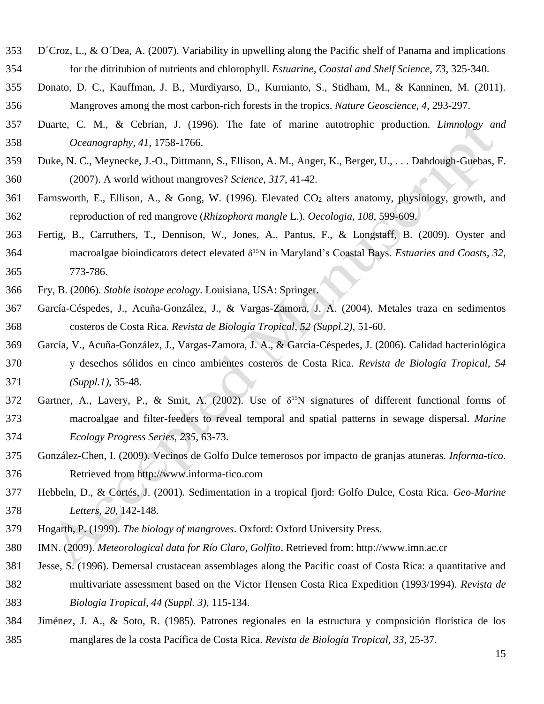- D´Croz, L., & O´Dea, A. (2007). Variability in upwelling along the Pacific shelf of Panama and implications for the ditritubion of nutrients and chlorophyll. *Estuarine, Coastal and Shelf Science, 73*, 325-340.
- Donato, D. C., Kauffman, J. B., Murdiyarso, D., Kurnianto, S., Stidham, M., & Kanninen, M. (2011). Mangroves among the most carbon-rich forests in the tropics. *Nature Geoscience, 4*, 293-297.
- Duarte, C. M., & Cebrian, J. (1996). The fate of marine autotrophic production. *Limnology and Oceanography, 41*, 1758-1766.
- Duke, N. C., Meynecke, J.-O., Dittmann, S., Ellison, A. M., Anger, K., Berger, U., . . . Dahdough-Guebas, F. (2007). A world without mangroves? *Science, 317*, 41-42.
- Farnsworth, E., Ellison, A., & Gong, W. (1996). Elevated CO<sup>2</sup> alters anatomy, physiology, growth, and reproduction of red mangrove (*Rhizophora mangle* L.). *Oecologia, 108*, 599-609.
- Fertig, B., Carruthers, T., Dennison, W., Jones, A., Pantus, F., & Longstaff, B. (2009). Oyster and 364 macroalgae bioindicators detect elevated  $\delta^{15}N$  in Maryland's Coastal Bays. *Estuaries and Coasts*, 32, 773-786.
- Fry, B. (2006). *Stable isotope ecology*. Louisiana, USA: Springer.
- García-Céspedes, J., Acuña-González, J., & Vargas-Zamora, J. A. (2004). Metales traza en sedimentos costeros de Costa Rica. *Revista de Biología Tropical, 52 (Suppl.2)*, 51-60.
- García, V., Acuña-González, J., Vargas-Zamora, J. A., & García-Céspedes, J. (2006). Calidad bacteriológica y desechos sólidos en cinco ambientes costeros de Costa Rica. *Revista de Biología Tropical, 54 (Suppl.1)*, 35-48.
- 372 Gartner, A., Lavery, P., & Smit, A. (2002). Use of  $\delta^{15}N$  signatures of different functional forms of macroalgae and filter-feeders to reveal temporal and spatial patterns in sewage dispersal. *Marine Ecology Progress Series, 235*, 63-73.
- González-Chen, I. (2009). Vecinos de Golfo Dulce temerosos por impacto de granjas atuneras. *Informa-tico*. Retrieved from http://www.informa-tico.com
- Hebbeln, D., & Cortés, J. (2001). Sedimentation in a tropical fjord: Golfo Dulce, Costa Rica. *Geo-Marine Letters, 20*, 142-148.
- Hogarth, P. (1999). *The biology of mangroves*. Oxford: Oxford University Press.
- IMN. (2009). *Meteorological data for Río Claro, Golfito*. Retrieved from: http://www.imn.ac.cr
- Jesse, S. (1996). Demersal crustacean assemblages along the Pacific coast of Costa Rica: a quantitative and multivariate assessment based on the Victor Hensen Costa Rica Expedition (1993/1994). *Revista de Biologia Tropical, 44 (Suppl. 3)*, 115-134.
- Jiménez, J. A., & Soto, R. (1985). Patrones regionales en la estructura y composición florística de los manglares de la costa Pacífica de Costa Rica. *Revista de Biología Tropical, 33*, 25-37.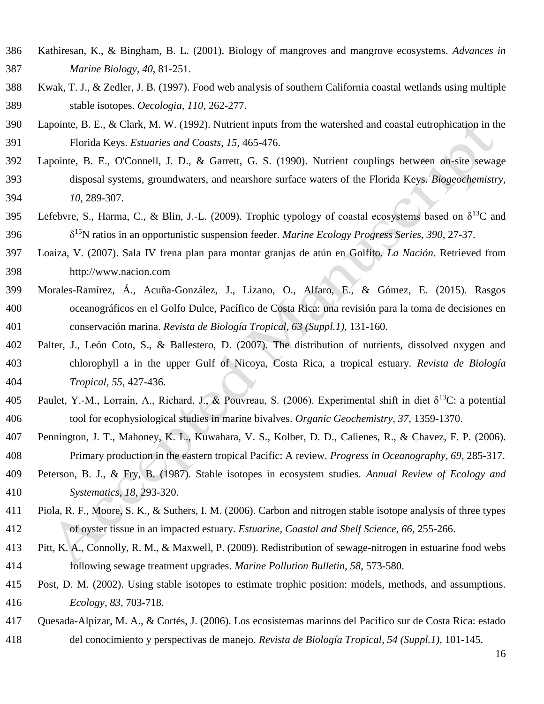- Kathiresan, K., & Bingham, B. L. (2001). Biology of mangroves and mangrove ecosystems. *Advances in Marine Biology, 40*, 81-251.
- Kwak, T. J., & Zedler, J. B. (1997). Food web analysis of southern California coastal wetlands using multiple stable isotopes. *Oecologia, 110*, 262-277.
- Lapointe, B. E., & Clark, M. W. (1992). Nutrient inputs from the watershed and coastal eutrophication in the Florida Keys. *Estuaries and Coasts, 15*, 465-476.
- Lapointe, B. E., O'Connell, J. D., & Garrett, G. S. (1990). Nutrient couplings between on-site sewage disposal systems, groundwaters, and nearshore surface waters of the Florida Keys. *Biogeochemistry, 10*, 289-307.
- 395 Lefebvre, S., Harma, C., & Blin, J.-L. (2009). Trophic typology of coastal ecosystems based on  $\delta^{13}C$  and  $396 \qquad \delta^{15}$ N ratios in an opportunistic suspension feeder. *Marine Ecology Progress Series, 390, 27-37*.
- Loaiza, V. (2007). Sala IV frena plan para montar granjas de atún en Golfito. *La Nación*. Retrieved from http://www.nacion.com
- Morales-Ramírez, Á., Acuña-González, J., Lizano, O., Alfaro, E., & Gómez, E. (2015). Rasgos oceanográficos en el Golfo Dulce, Pacífico de Costa Rica: una revisión para la toma de decisiones en conservación marina. *Revista de Biología Tropical, 63 (Suppl.1)*, 131-160.
- Palter, J., León Coto, S., & Ballestero, D. (2007). The distribution of nutrients, dissolved oxygen and chlorophyll a in the upper Gulf of Nicoya, Costa Rica, a tropical estuary. *Revista de Biología Tropical, 55*, 427-436.
- 405 Paulet, Y.-M., Lorrain, A., Richard, J., & Pouvreau, S. (2006). Experimental shift in diet  $\delta^{13}C$ : a potential tool for ecophysiological studies in marine bivalves. *Organic Geochemistry, 37*, 1359-1370.
- Pennington, J. T., Mahoney, K. L., Kuwahara, V. S., Kolber, D. D., Calienes, R., & Chavez, F. P. (2006). Primary production in the eastern tropical Pacific: A review. *Progress in Oceanography, 69*, 285-317.
- Peterson, B. J., & Fry, B. (1987). Stable isotopes in ecosystem studies. *Annual Review of Ecology and Systematics, 18*, 293-320.
- Piola, R. F., Moore, S. K., & Suthers, I. M. (2006). Carbon and nitrogen stable isotope analysis of three types of oyster tissue in an impacted estuary. *Estuarine, Coastal and Shelf Science, 66*, 255-266.
- Pitt, K. A., Connolly, R. M., & Maxwell, P. (2009). Redistribution of sewage-nitrogen in estuarine food webs following sewage treatment upgrades. *Marine Pollution Bulletin, 58*, 573-580.
- Post, D. M. (2002). Using stable isotopes to estimate trophic position: models, methods, and assumptions. *Ecology, 83*, 703-718.
- Quesada-Alpízar, M. A., & Cortés, J. (2006). Los ecosistemas marinos del Pacífico sur de Costa Rica: estado del conocimiento y perspectivas de manejo. *Revista de Biología Tropical, 54 (Suppl.1)*, 101-145.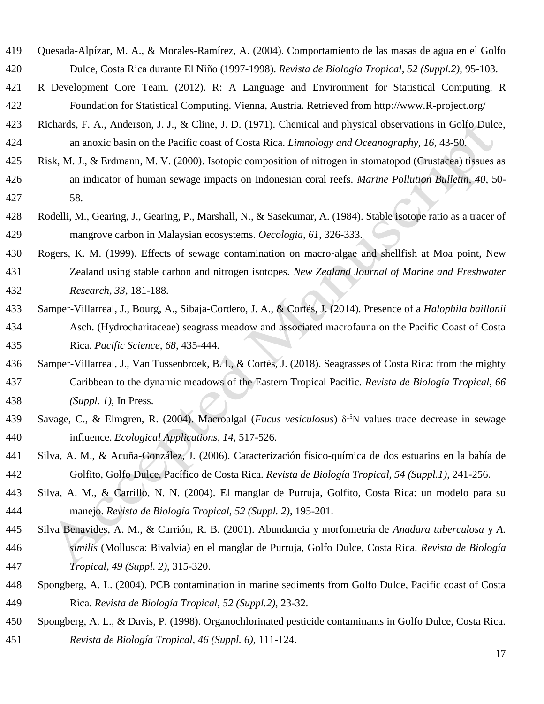- Quesada-Alpízar, M. A., & Morales-Ramírez, A. (2004). Comportamiento de las masas de agua en el Golfo Dulce, Costa Rica durante El Niño (1997-1998). *Revista de Biología Tropical, 52 (Suppl.2)*, 95-103.
- R Development Core Team. (2012). R: A Language and Environment for Statistical Computing. R Foundation for Statistical Computing. Vienna, Austria. Retrieved from http://www.R-project.org/
- Richards, F. A., Anderson, J. J., & Cline, J. D. (1971). Chemical and physical observations in Golfo Dulce, an anoxic basin on the Pacific coast of Costa Rica. *Limnology and Oceanography, 16*, 43-50.
- Risk, M. J., & Erdmann, M. V. (2000). Isotopic composition of nitrogen in stomatopod (Crustacea) tissues as an indicator of human sewage impacts on Indonesian coral reefs. *Marine Pollution Bulletin, 40*, 50- 58.
- Rodelli, M., Gearing, J., Gearing, P., Marshall, N., & Sasekumar, A. (1984). Stable isotope ratio as a tracer of mangrove carbon in Malaysian ecosystems. *Oecologia, 61*, 326-333.
- 430 Rogers, K. M. (1999). Effects of sewage contamination on macro-algae and shellfish at Moa point, New Zealand using stable carbon and nitrogen isotopes. *New Zealand Journal of Marine and Freshwater Research, 33*, 181-188.
- Samper-Villarreal, J., Bourg, A., Sibaja-Cordero, J. A., & Cortés, J. (2014). Presence of a *Halophila baillonii* Asch. (Hydrocharitaceae) seagrass meadow and associated macrofauna on the Pacific Coast of Costa Rica. *Pacific Science, 68*, 435-444.
- Samper-Villarreal, J., Van Tussenbroek, B. I., & Cortés, J. (2018). Seagrasses of Costa Rica: from the mighty Caribbean to the dynamic meadows of the Eastern Tropical Pacific. *Revista de Biología Tropical, 66 (Suppl. 1)*, In Press.
- Savage, C., & Elmgren, R. (2004). Macroalgal (*Fucus vesiculosus*) δ<sup>15</sup>N values trace decrease in sewage influence. *Ecological Applications, 14*, 517-526.
- Silva, A. M., & Acuña-González, J. (2006). Caracterización físico-química de dos estuarios en la bahía de Golfito, Golfo Dulce, Pacífico de Costa Rica. *Revista de Biología Tropical, 54 (Suppl.1)*, 241-256.
- Silva, A. M., & Carrillo, N. N. (2004). El manglar de Purruja, Golfito, Costa Rica: un modelo para su manejo. *Revista de Biología Tropical, 52 (Suppl. 2)*, 195-201.
- Silva Benavides, A. M., & Carrión, R. B. (2001). Abundancia y morfometría de *Anadara tuberculosa* y *A. similis* (Mollusca: Bivalvia) en el manglar de Purruja, Golfo Dulce, Costa Rica. *Revista de Biología Tropical, 49 (Suppl. 2)*, 315-320.
- Spongberg, A. L. (2004). PCB contamination in marine sediments from Golfo Dulce, Pacific coast of Costa Rica. *Revista de Biología Tropical, 52 (Suppl.2)*, 23-32.
- Spongberg, A. L., & Davis, P. (1998). Organochlorinated pesticide contaminants in Golfo Dulce, Costa Rica. *Revista de Biología Tropical, 46 (Suppl. 6)*, 111-124.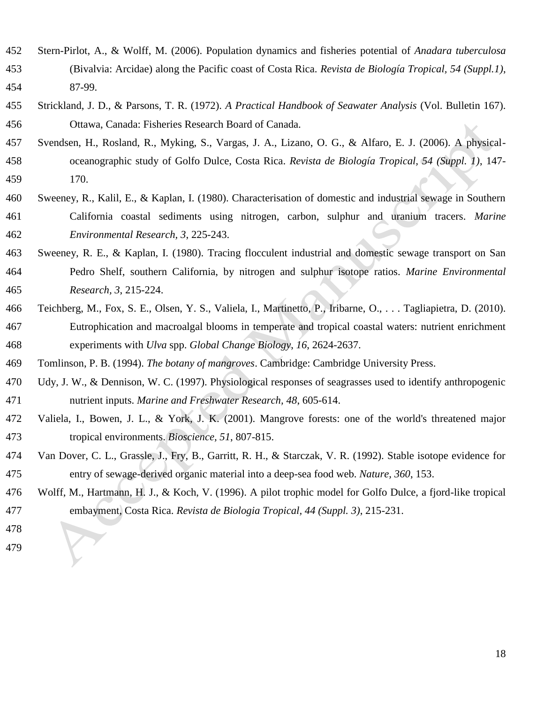- Stern-Pirlot, A., & Wolff, M. (2006). Population dynamics and fisheries potential of *Anadara tuberculosa* (Bivalvia: Arcidae) along the Pacific coast of Costa Rica. *Revista de Biología Tropical, 54 (Suppl.1)*, 87-99.
- Strickland, J. D., & Parsons, T. R. (1972). *A Practical Handbook of Seawater Analysis* (Vol. Bulletin 167). Ottawa, Canada: Fisheries Research Board of Canada.
- Svendsen, H., Rosland, R., Myking, S., Vargas, J. A., Lizano, O. G., & Alfaro, E. J. (2006). A physical-oceanographic study of Golfo Dulce, Costa Rica. *Revista de Biología Tropical, 54 (Suppl. 1)*, 147-
- 170.
- Sweeney, R., Kalil, E., & Kaplan, I. (1980). Characterisation of domestic and industrial sewage in Southern California coastal sediments using nitrogen, carbon, sulphur and uranium tracers. *Marine Environmental Research, 3*, 225-243.
- Sweeney, R. E., & Kaplan, I. (1980). Tracing flocculent industrial and domestic sewage transport on San Pedro Shelf, southern California, by nitrogen and sulphur isotope ratios. *Marine Environmental Research, 3*, 215-224.
- Teichberg, M., Fox, S. E., Olsen, Y. S., Valiela, I., Martinetto, P., Iribarne, O., . . . Tagliapietra, D. (2010). Eutrophication and macroalgal blooms in temperate and tropical coastal waters: nutrient enrichment experiments with *Ulva* spp. *Global Change Biology, 16*, 2624-2637.
- Tomlinson, P. B. (1994). *The botany of mangroves*. Cambridge: Cambridge University Press.
- Udy, J. W., & Dennison, W. C. (1997). Physiological responses of seagrasses used to identify anthropogenic nutrient inputs. *Marine and Freshwater Research, 48*, 605-614.
- Valiela, I., Bowen, J. L., & York, J. K. (2001). Mangrove forests: one of the world's threatened major tropical environments. *Bioscience, 51*, 807-815.
- Van Dover, C. L., Grassle, J., Fry, B., Garritt, R. H., & Starczak, V. R. (1992). Stable isotope evidence for entry of sewage-derived organic material into a deep-sea food web. *Nature, 360*, 153.
- Wolff, M., Hartmann, H. J., & Koch, V. (1996). A pilot trophic model for Golfo Dulce, a fjord-like tropical embayment, Costa Rica. *Revista de Biologia Tropical, 44 (Suppl. 3)*, 215-231.
-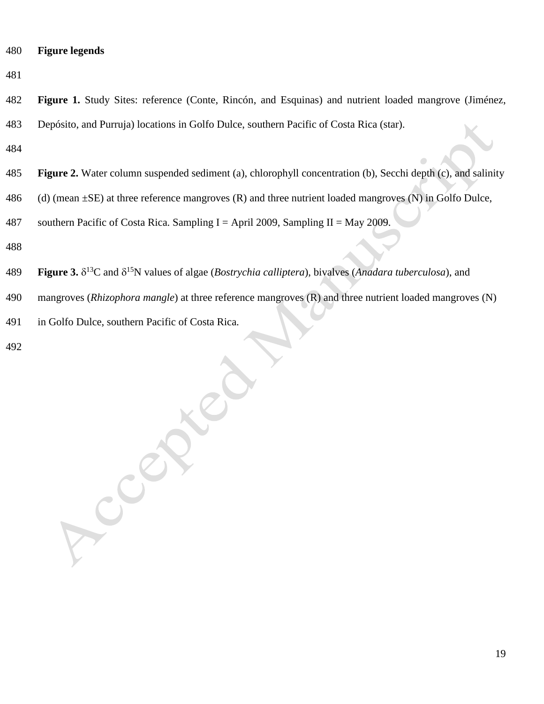- **Figure legends**
- 

 **Figure 1.** Study Sites: reference (Conte, Rincón, and Esquinas) and nutrient loaded mangrove (Jiménez, Depósito, and Purruja) locations in Golfo Dulce, southern Pacific of Costa Rica (star).

- 
- **Figure 2.** Water column suspended sediment (a), chlorophyll concentration (b), Secchi depth (c), and salinity
- 486 (d) (mean  $\pm$ SE) at three reference mangroves (R) and three nutrient loaded mangroves (N) in Golfo Dulce,
- 487 southern Pacific of Costa Rica. Sampling I = April 2009, Sampling II = May 2009.
- 
- **Figure 3.**  $\delta^{13}$ C and  $\delta^{15}$ N values of algae (*Bostrychia calliptera*), bivalves (*Anadara tuberculosa*), and
- mangroves (*Rhizophora mangle*) at three reference mangroves (R) and three nutrient loaded mangroves (N)
- in Golfo Dulce, southern Pacific of Costa Rica.

Accepter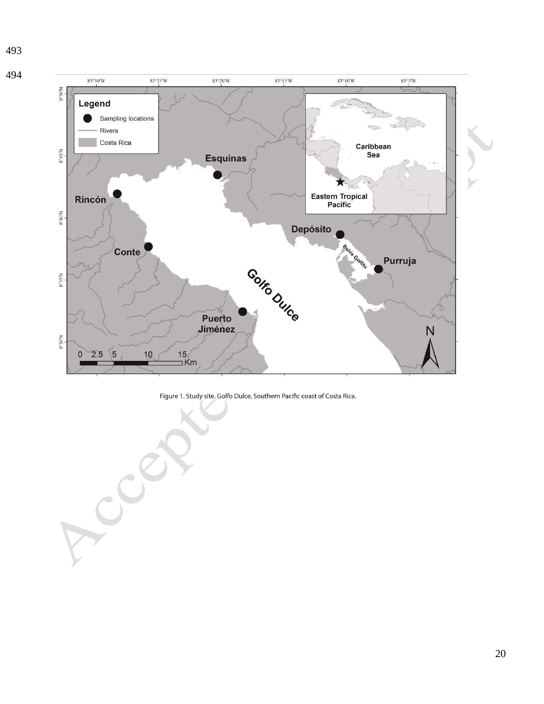



 $\mathbf{C}^{\mathbf{X}}$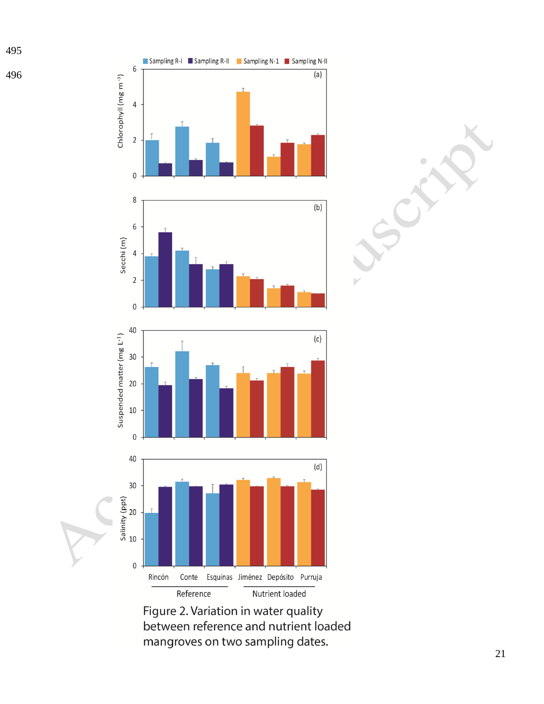







Figure 2. Variation in water quality between reference and nutrient loaded mangroves on two sampling dates.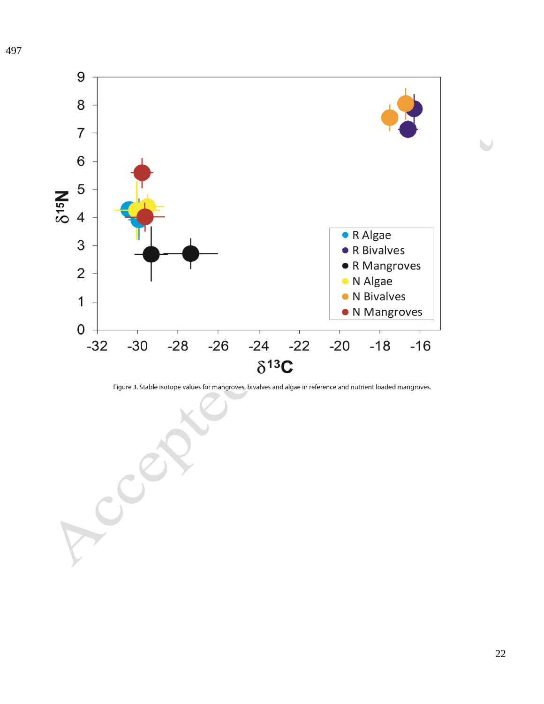

Figure 3. Stable isotope values for mangroves, bivalves and algae in reference and nutrient loaded mangroves.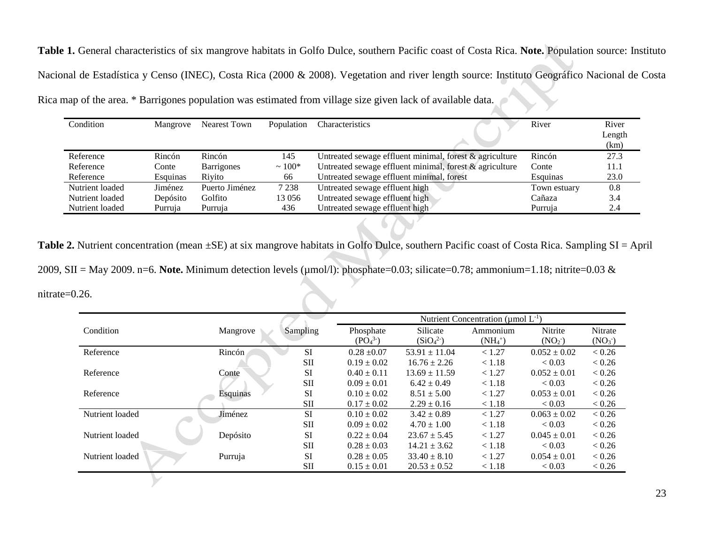**Table 1.** General characteristics of six mangrove habitats in Golfo Dulce, southern Pacific coast of Costa Rica. **Note.** Population source: Instituto Nacional de Estadística y Censo (INEC), Costa Rica (2000 & 2008). Vegetation and river length source: Instituto Geográfico Nacional de Costa Rica map of the area. \* Barrigones population was estimated from village size given lack of available data.

| Condition       | Mangrove | Nearest Town   | Population | Characteristics                                            | River        | River  |
|-----------------|----------|----------------|------------|------------------------------------------------------------|--------------|--------|
|                 |          |                |            |                                                            |              | Length |
|                 |          |                |            |                                                            |              | (km)   |
| Reference       | Rincón   | Rincón         | 145        | Untreated sewage effluent minimal, forest $\&$ agriculture | Rincón       | 27.3   |
| Reference       | Conte    | Barrigones     | $~100*$    | Untreated sewage effluent minimal, forest & agriculture    | Conte        | 11.1   |
| Reference       | Esquinas | Rivito         | 66         | Untreated sewage effluent minimal, forest                  | Esquinas     | 23.0   |
| Nutrient loaded | Jiménez  | Puerto Jiménez | 7 2 3 8    | Untreated sewage effluent high                             | Town estuary | 0.8    |
| Nutrient loaded | Depósito | Golfito        | 13 0 56    | Untreated sewage effluent high                             | Cañaza       | 3.4    |
| Nutrient loaded | Purruja  | Purruja        | 436        | Untreated sewage effluent high                             | Purruja      | 2.4    |
|                 |          |                |            |                                                            |              |        |
|                 |          |                |            |                                                            |              |        |

Table 2. Nutrient concentration (mean ±SE) at six mangrove habitats in Golfo Dulce, southern Pacific coast of Costa Rica. Sampling SI = April 2009, SII = May 2009. n=6. **Note.** Minimum detection levels (µmol/l): phosphate=0.03; silicate=0.78; ammonium=1.18; nitrite=0.03 & nitrate=0.26.

|                 |          |            | Nutrient Concentration (umol $L^{-1}$ ) |                                  |            |                    |                    |  |  |
|-----------------|----------|------------|-----------------------------------------|----------------------------------|------------|--------------------|--------------------|--|--|
| Condition       | Mangrove | Sampling   | Phosphate                               | Silicate                         | Ammonium   | Nitrite            | Nitrate            |  |  |
|                 |          |            | (PO <sub>4</sub> <sup>3</sup> )         | (SiO <sub>4</sub> <sup>2</sup> ) | $(NH_4^+)$ | (NO <sub>2</sub> ) | (NO <sub>3</sub> ) |  |  |
| Reference       | Rincón   | <b>SI</b>  | $0.28 \pm 0.07$                         | $53.91 \pm 11.04$                | < 1.27     | $0.052 \pm 0.02$   | < 0.26             |  |  |
|                 |          | <b>SII</b> | $0.19 \pm 0.02$                         | $16.76 \pm 2.26$                 | < 1.18     | < 0.03             | < 0.26             |  |  |
| Reference       | Conte    | <b>SI</b>  | $0.40 \pm 0.11$                         | $13.69 \pm 11.59$                | < 1.27     | $0.052 \pm 0.01$   | < 0.26             |  |  |
|                 |          | <b>SII</b> | $0.09 \pm 0.01$                         | $6.42 \pm 0.49$                  | < 1.18     | < 0.03             | < 0.26             |  |  |
| Reference       | Esquinas | <b>SI</b>  | $0.10 \pm 0.02$                         | $8.51 \pm 5.00$                  | < 1.27     | $0.053 \pm 0.01$   | < 0.26             |  |  |
|                 |          | <b>SII</b> | $0.17 \pm 0.02$                         | $2.29 \pm 0.16$                  | < 1.18     | < 0.03             | < 0.26             |  |  |
| Nutrient loaded | Jiménez  | <b>SI</b>  | $0.10 \pm 0.02$                         | $3.42 \pm 0.89$                  | < 1.27     | $0.063 \pm 0.02$   | < 0.26             |  |  |
|                 |          | <b>SII</b> | $0.09 \pm 0.02$                         | $4.70 \pm 1.00$                  | < 1.18     | < 0.03             | < 0.26             |  |  |
| Nutrient loaded | Depósito | SI         | $0.22 \pm 0.04$                         | $23.67 \pm 5.45$                 | < 1.27     | $0.045 \pm 0.01$   | < 0.26             |  |  |
|                 |          | <b>SII</b> | $0.28 \pm 0.03$                         | $14.21 \pm 3.62$                 | < 1.18     | < 0.03             | < 0.26             |  |  |
| Nutrient loaded | Purruja  | <b>SI</b>  | $0.28 \pm 0.05$                         | $33.40 \pm 8.10$                 | < 1.27     | $0.054 \pm 0.01$   | < 0.26             |  |  |
|                 |          | SП         | $0.15 \pm 0.01$                         | $20.53 \pm 0.52$                 | < 1.18     | < 0.03             | < 0.26             |  |  |
|                 |          |            |                                         |                                  |            |                    |                    |  |  |